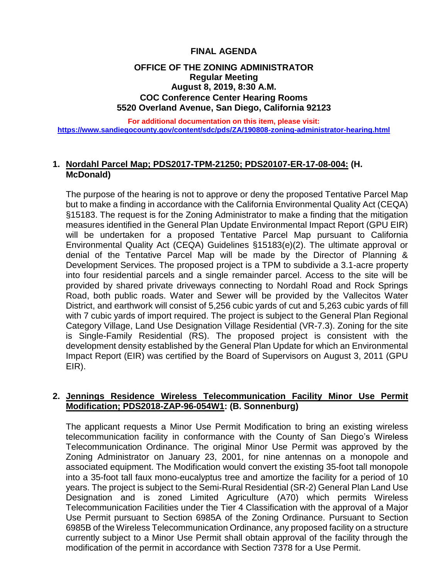## **FINAL AGENDA**

## **OFFICE OF THE ZONING ADMINISTRATOR Regular Meeting August 8, 2019, 8:30 A.M. COC Conference Center Hearing Rooms 5520 Overland Avenue, San Diego, California 92123**

**For additional documentation on this item, please visit: <https://www.sandiegocounty.gov/content/sdc/pds/ZA/190808-zoning-administrator-hearing.html>**

#### **1. Nordahl Parcel Map; PDS2017-TPM-21250; PDS20107-ER-17-08-004: (H. McDonald)**

The purpose of the hearing is not to approve or deny the proposed Tentative Parcel Map but to make a finding in accordance with the California Environmental Quality Act (CEQA) §15183. The request is for the Zoning Administrator to make a finding that the mitigation measures identified in the General Plan Update Environmental Impact Report (GPU EIR) will be undertaken for a proposed Tentative Parcel Map pursuant to California Environmental Quality Act (CEQA) Guidelines §15183(e)(2). The ultimate approval or denial of the Tentative Parcel Map will be made by the Director of Planning & Development Services. The proposed project is a TPM to subdivide a 3.1-acre property into four residential parcels and a single remainder parcel. Access to the site will be provided by shared private driveways connecting to Nordahl Road and Rock Springs Road, both public roads. Water and Sewer will be provided by the Vallecitos Water District, and earthwork will consist of 5,256 cubic yards of cut and 5,263 cubic yards of fill with 7 cubic yards of import required. The project is subject to the General Plan Regional Category Village, Land Use Designation Village Residential (VR-7.3). Zoning for the site is Single-Family Residential (RS). The proposed project is consistent with the development density established by the General Plan Update for which an Environmental Impact Report (EIR) was certified by the Board of Supervisors on August 3, 2011 (GPU EIR).

## **2. Jennings Residence Wireless Telecommunication Facility Minor Use Permit Modification; PDS2018-ZAP-96-054W1: (B. Sonnenburg)**

The applicant requests a Minor Use Permit Modification to bring an existing wireless telecommunication facility in conformance with the County of San Diego's Wireless Telecommunication Ordinance. The original Minor Use Permit was approved by the Zoning Administrator on January 23, 2001, for nine antennas on a monopole and associated equipment. The Modification would convert the existing 35-foot tall monopole into a 35-foot tall faux mono-eucalyptus tree and amortize the facility for a period of 10 years. The project is subject to the Semi-Rural Residential (SR-2) General Plan Land Use Designation and is zoned Limited Agriculture (A70) which permits Wireless Telecommunication Facilities under the Tier 4 Classification with the approval of a Major Use Permit pursuant to Section 6985A of the Zoning Ordinance. Pursuant to Section 6985B of the Wireless Telecommunication Ordinance, any proposed facility on a structure currently subject to a Minor Use Permit shall obtain approval of the facility through the modification of the permit in accordance with Section 7378 for a Use Permit.